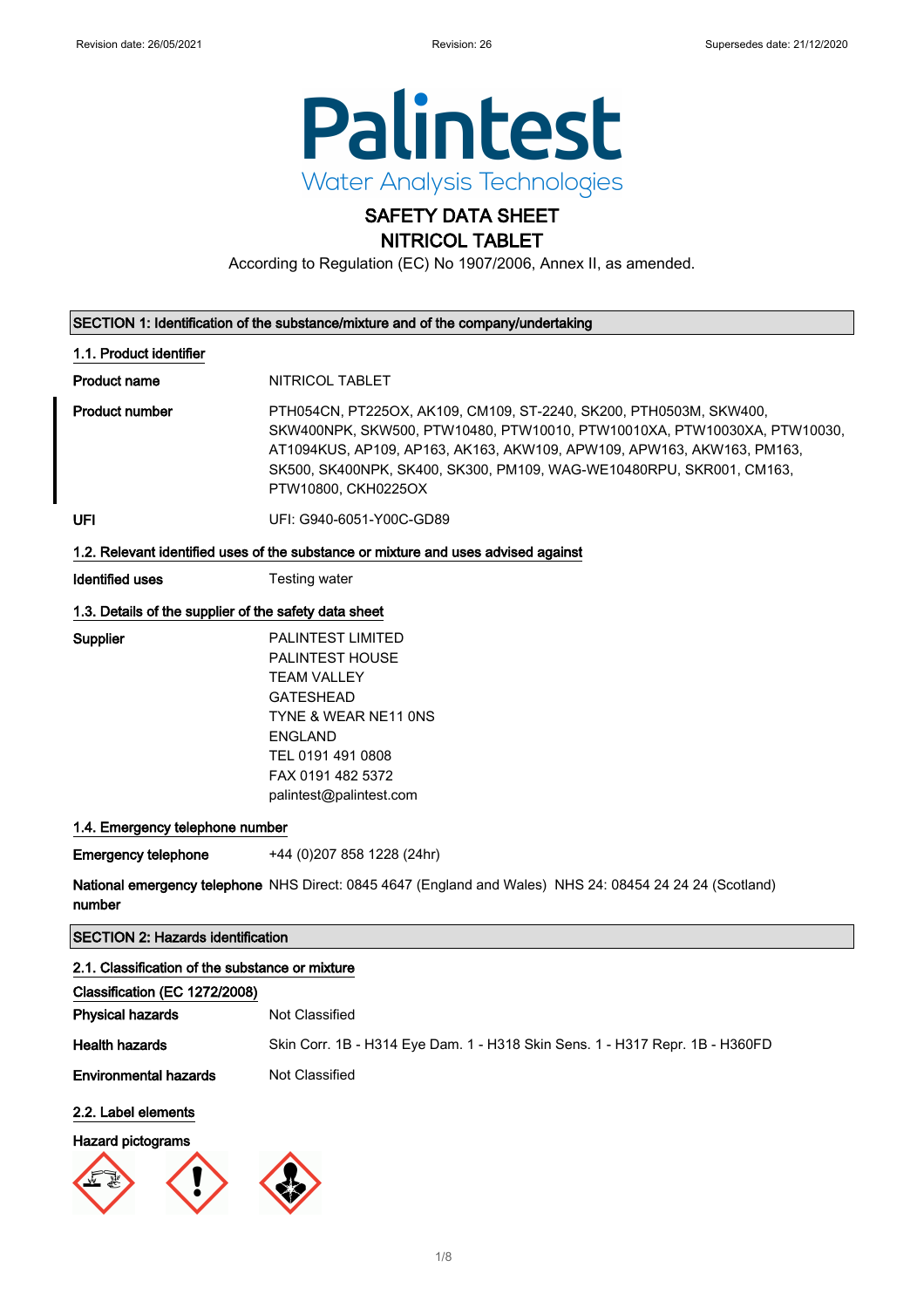

## SAFETY DATA SHEET NITRICOL TABLET

According to Regulation (EC) No 1907/2006, Annex II, as amended.

| SECTION 1: Identification of the substance/mixture and of the company/undertaking  |                                                                                                                                                                                                                                                                                                                         |  |
|------------------------------------------------------------------------------------|-------------------------------------------------------------------------------------------------------------------------------------------------------------------------------------------------------------------------------------------------------------------------------------------------------------------------|--|
| 1.1. Product identifier                                                            |                                                                                                                                                                                                                                                                                                                         |  |
| Product name                                                                       | NITRICOL TABLET                                                                                                                                                                                                                                                                                                         |  |
| Product number                                                                     | PTH054CN, PT225OX, AK109, CM109, ST-2240, SK200, PTH0503M, SKW400,<br>SKW400NPK, SKW500, PTW10480, PTW10010, PTW10010XA, PTW10030XA, PTW10030,<br>AT1094KUS, AP109, AP163, AK163, AKW109, APW109, APW163, AKW163, PM163,<br>SK500, SK400NPK, SK400, SK300, PM109, WAG-WE10480RPU, SKR001, CM163,<br>PTW10800, CKH0225OX |  |
| UFI                                                                                | UFI: G940-6051-Y00C-GD89                                                                                                                                                                                                                                                                                                |  |
| 1.2. Relevant identified uses of the substance or mixture and uses advised against |                                                                                                                                                                                                                                                                                                                         |  |
| Identified uses                                                                    | Testing water                                                                                                                                                                                                                                                                                                           |  |
|                                                                                    |                                                                                                                                                                                                                                                                                                                         |  |

## 1.3. Details of the supplier of the safety data sheet

Supplier PALINTEST LIMITED PALINTEST HOUSE TEAM VALLEY GATESHEAD TYNE & WEAR NE11 0NS ENGLAND TEL 0191 491 0808 FAX 0191 482 5372 palintest@palintest.com

## 1.4. Emergency telephone number

Emergency telephone +44 (0)207 858 1228 (24hr)

**National emergency telephone** NHS Direct: 0845 4647 (England and Wales) NHS 24: 08454 24 24 24 (Scotland) number

## SECTION 2: Hazards identification

## 2.1. Classification of the substance or mixture

| Classification (EC 1272/2008) |                                                                              |
|-------------------------------|------------------------------------------------------------------------------|
| <b>Physical hazards</b>       | Not Classified                                                               |
| <b>Health hazards</b>         | Skin Corr. 1B - H314 Eye Dam. 1 - H318 Skin Sens. 1 - H317 Repr. 1B - H360FD |
| <b>Environmental hazards</b>  | Not Classified                                                               |
| 2.2. Label elements           |                                                                              |

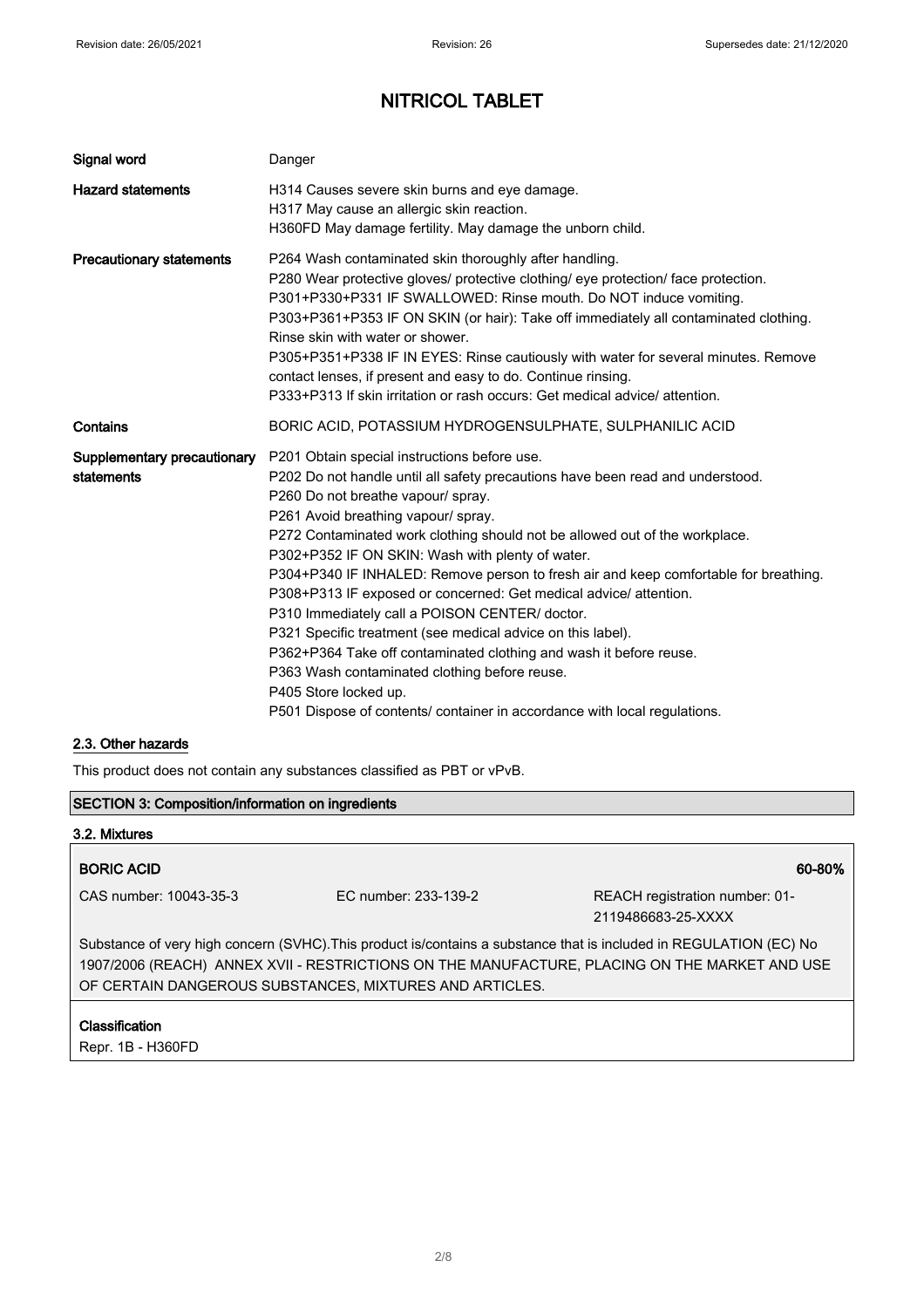| Signal word                               | Danger                                                                                                                                                                                                                                                                                                                                                                                                                                                                                                                                                                                                                                                                                                                                                                                                                                                    |
|-------------------------------------------|-----------------------------------------------------------------------------------------------------------------------------------------------------------------------------------------------------------------------------------------------------------------------------------------------------------------------------------------------------------------------------------------------------------------------------------------------------------------------------------------------------------------------------------------------------------------------------------------------------------------------------------------------------------------------------------------------------------------------------------------------------------------------------------------------------------------------------------------------------------|
| <b>Hazard statements</b>                  | H314 Causes severe skin burns and eye damage.<br>H317 May cause an allergic skin reaction.<br>H360FD May damage fertility. May damage the unborn child.                                                                                                                                                                                                                                                                                                                                                                                                                                                                                                                                                                                                                                                                                                   |
| <b>Precautionary statements</b>           | P264 Wash contaminated skin thoroughly after handling.<br>P280 Wear protective gloves/ protective clothing/ eye protection/ face protection.<br>P301+P330+P331 IF SWALLOWED: Rinse mouth. Do NOT induce vomiting.<br>P303+P361+P353 IF ON SKIN (or hair): Take off immediately all contaminated clothing.<br>Rinse skin with water or shower.<br>P305+P351+P338 IF IN EYES: Rinse cautiously with water for several minutes. Remove<br>contact lenses, if present and easy to do. Continue rinsing.<br>P333+P313 If skin irritation or rash occurs: Get medical advice/attention.                                                                                                                                                                                                                                                                         |
| Contains                                  | BORIC ACID, POTASSIUM HYDROGENSULPHATE, SULPHANILIC ACID                                                                                                                                                                                                                                                                                                                                                                                                                                                                                                                                                                                                                                                                                                                                                                                                  |
| Supplementary precautionary<br>statements | P201 Obtain special instructions before use.<br>P202 Do not handle until all safety precautions have been read and understood.<br>P260 Do not breathe vapour/ spray.<br>P261 Avoid breathing vapour/ spray.<br>P272 Contaminated work clothing should not be allowed out of the workplace.<br>P302+P352 IF ON SKIN: Wash with plenty of water.<br>P304+P340 IF INHALED: Remove person to fresh air and keep comfortable for breathing.<br>P308+P313 IF exposed or concerned: Get medical advice/ attention.<br>P310 Immediately call a POISON CENTER/ doctor.<br>P321 Specific treatment (see medical advice on this label).<br>P362+P364 Take off contaminated clothing and wash it before reuse.<br>P363 Wash contaminated clothing before reuse.<br>P405 Store locked up.<br>P501 Dispose of contents/ container in accordance with local regulations. |

## 2.3. Other hazards

This product does not contain any substances classified as PBT or vPvB.

## SECTION 3: Composition/information on ingredients

## 3.2. Mixtures

## BORIC ACID 60-80%

CAS number: 10043-35-3 EC number: 233-139-2 REACH registration number: 01- 2119486683-25-XXXX

Substance of very high concern (SVHC).This product is/contains a substance that is included in REGULATION (EC) No 1907/2006 (REACH) ANNEX XVII - RESTRICTIONS ON THE MANUFACTURE, PLACING ON THE MARKET AND USE OF CERTAIN DANGEROUS SUBSTANCES, MIXTURES AND ARTICLES.

#### Classification

Repr. 1B - H360FD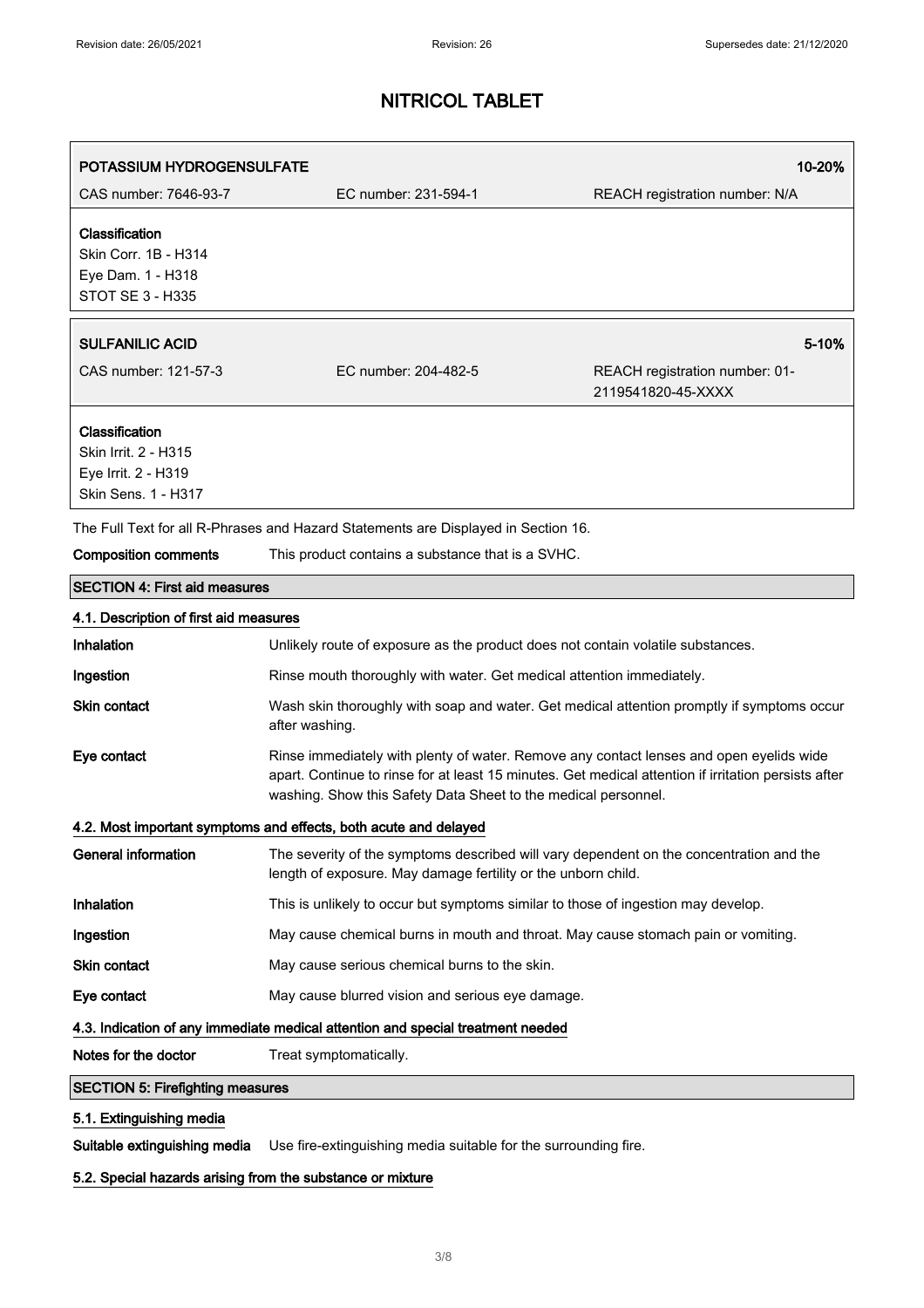| <b>POTASSIUM HYDROGENSULFATE</b>                                                            |                                                                                                                                                                                                                                                                   | 10-20%                                               |  |
|---------------------------------------------------------------------------------------------|-------------------------------------------------------------------------------------------------------------------------------------------------------------------------------------------------------------------------------------------------------------------|------------------------------------------------------|--|
| CAS number: 7646-93-7                                                                       | EC number: 231-594-1                                                                                                                                                                                                                                              | REACH registration number: N/A                       |  |
| Classification<br>Skin Corr. 1B - H314<br>Eye Dam. 1 - H318<br>STOT SE 3 - H335             |                                                                                                                                                                                                                                                                   |                                                      |  |
| <b>SULFANILIC ACID</b>                                                                      |                                                                                                                                                                                                                                                                   | 5-10%                                                |  |
| CAS number: 121-57-3                                                                        | EC number: 204-482-5                                                                                                                                                                                                                                              | REACH registration number: 01-<br>2119541820-45-XXXX |  |
| Classification<br>Skin Irrit. 2 - H315<br>Eye Irrit. 2 - H319<br><b>Skin Sens. 1 - H317</b> |                                                                                                                                                                                                                                                                   |                                                      |  |
| The Full Text for all R-Phrases and Hazard Statements are Displayed in Section 16.          |                                                                                                                                                                                                                                                                   |                                                      |  |
| <b>Composition comments</b>                                                                 | This product contains a substance that is a SVHC.                                                                                                                                                                                                                 |                                                      |  |
| <b>SECTION 4: First aid measures</b>                                                        |                                                                                                                                                                                                                                                                   |                                                      |  |
| 4.1. Description of first aid measures                                                      |                                                                                                                                                                                                                                                                   |                                                      |  |
| Inhalation                                                                                  | Unlikely route of exposure as the product does not contain volatile substances.                                                                                                                                                                                   |                                                      |  |
| Ingestion                                                                                   | Rinse mouth thoroughly with water. Get medical attention immediately.                                                                                                                                                                                             |                                                      |  |
| <b>Skin contact</b>                                                                         | Wash skin thoroughly with soap and water. Get medical attention promptly if symptoms occur<br>after washing.                                                                                                                                                      |                                                      |  |
| Eye contact                                                                                 | Rinse immediately with plenty of water. Remove any contact lenses and open eyelids wide<br>apart. Continue to rinse for at least 15 minutes. Get medical attention if irritation persists after<br>washing. Show this Safety Data Sheet to the medical personnel. |                                                      |  |
|                                                                                             | 4.2. Most important symptoms and effects, both acute and delayed                                                                                                                                                                                                  |                                                      |  |
| <b>General information</b>                                                                  | The severity of the symptoms described will vary dependent on the concentration and the<br>length of exposure. May damage fertility or the unborn child.                                                                                                          |                                                      |  |
| Inhalation                                                                                  | This is unlikely to occur but symptoms similar to those of ingestion may develop.                                                                                                                                                                                 |                                                      |  |
| Ingestion                                                                                   | May cause chemical burns in mouth and throat. May cause stomach pain or vomiting.                                                                                                                                                                                 |                                                      |  |
| Skin contact                                                                                | May cause serious chemical burns to the skin.                                                                                                                                                                                                                     |                                                      |  |
| Eye contact                                                                                 | May cause blurred vision and serious eye damage.                                                                                                                                                                                                                  |                                                      |  |
|                                                                                             | 4.3. Indication of any immediate medical attention and special treatment needed                                                                                                                                                                                   |                                                      |  |
| Notes for the doctor                                                                        | Treat symptomatically.                                                                                                                                                                                                                                            |                                                      |  |
| <b>SECTION 5: Firefighting measures</b>                                                     |                                                                                                                                                                                                                                                                   |                                                      |  |
| 5.1. Extinguishing media                                                                    |                                                                                                                                                                                                                                                                   |                                                      |  |

Suitable extinguishing media Use fire-extinguishing media suitable for the surrounding fire.

## 5.2. Special hazards arising from the substance or mixture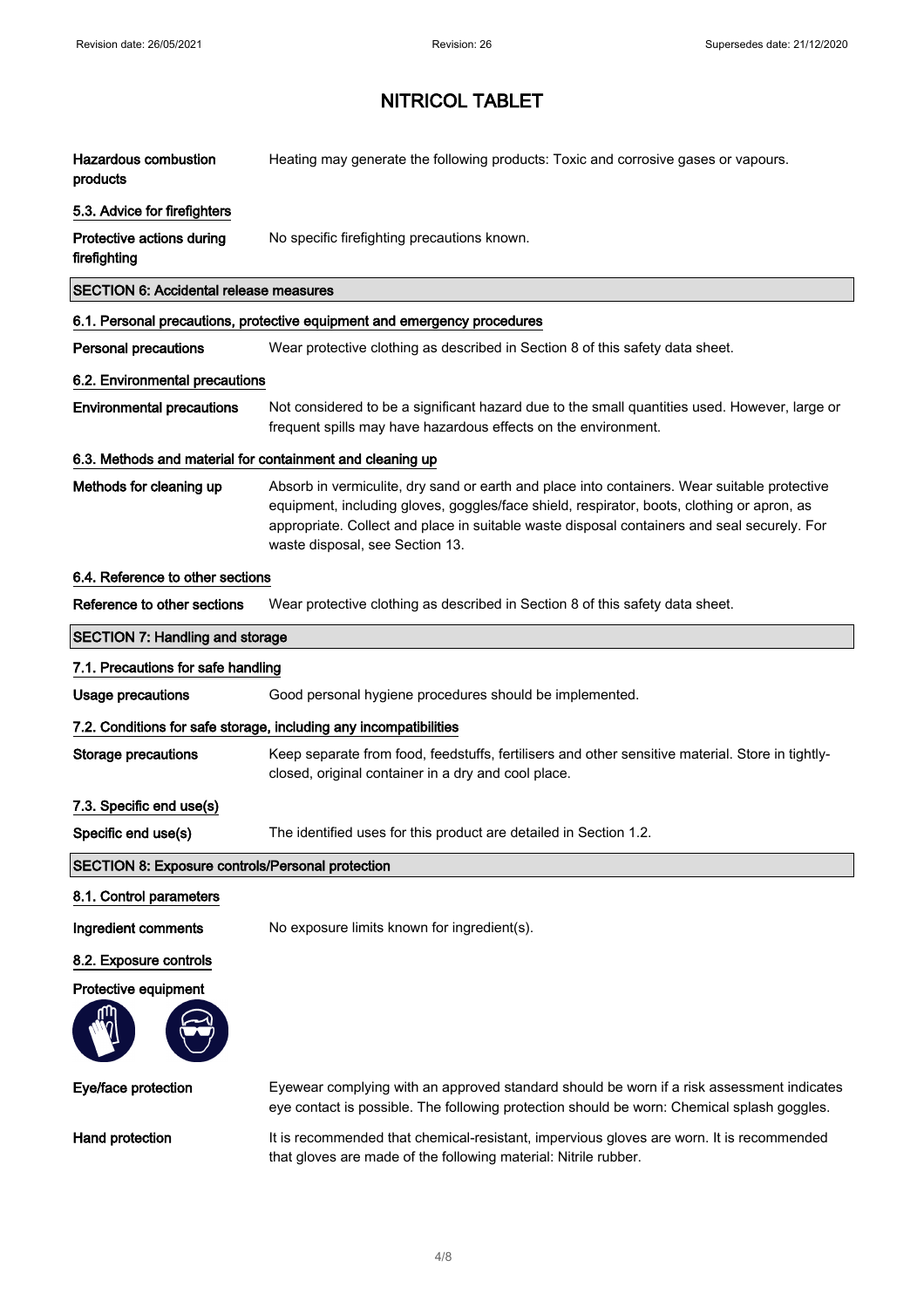| <b>Hazardous combustion</b><br>products                   | Heating may generate the following products: Toxic and corrosive gases or vapours.                                                                                                                                                                                                                                           |  |
|-----------------------------------------------------------|------------------------------------------------------------------------------------------------------------------------------------------------------------------------------------------------------------------------------------------------------------------------------------------------------------------------------|--|
| 5.3. Advice for firefighters                              |                                                                                                                                                                                                                                                                                                                              |  |
| Protective actions during<br>firefighting                 | No specific firefighting precautions known.                                                                                                                                                                                                                                                                                  |  |
| <b>SECTION 6: Accidental release measures</b>             |                                                                                                                                                                                                                                                                                                                              |  |
|                                                           | 6.1. Personal precautions, protective equipment and emergency procedures                                                                                                                                                                                                                                                     |  |
| <b>Personal precautions</b>                               | Wear protective clothing as described in Section 8 of this safety data sheet.                                                                                                                                                                                                                                                |  |
| 6.2. Environmental precautions                            |                                                                                                                                                                                                                                                                                                                              |  |
| <b>Environmental precautions</b>                          | Not considered to be a significant hazard due to the small quantities used. However, large or<br>frequent spills may have hazardous effects on the environment.                                                                                                                                                              |  |
| 6.3. Methods and material for containment and cleaning up |                                                                                                                                                                                                                                                                                                                              |  |
| Methods for cleaning up                                   | Absorb in vermiculite, dry sand or earth and place into containers. Wear suitable protective<br>equipment, including gloves, goggles/face shield, respirator, boots, clothing or apron, as<br>appropriate. Collect and place in suitable waste disposal containers and seal securely. For<br>waste disposal, see Section 13. |  |
| 6.4. Reference to other sections                          |                                                                                                                                                                                                                                                                                                                              |  |
| Reference to other sections                               | Wear protective clothing as described in Section 8 of this safety data sheet.                                                                                                                                                                                                                                                |  |
| <b>SECTION 7: Handling and storage</b>                    |                                                                                                                                                                                                                                                                                                                              |  |
| 7.1. Precautions for safe handling                        |                                                                                                                                                                                                                                                                                                                              |  |
| <b>Usage precautions</b>                                  | Good personal hygiene procedures should be implemented.                                                                                                                                                                                                                                                                      |  |
|                                                           | 7.2. Conditions for safe storage, including any incompatibilities                                                                                                                                                                                                                                                            |  |
| <b>Storage precautions</b>                                | Keep separate from food, feedstuffs, fertilisers and other sensitive material. Store in tightly-                                                                                                                                                                                                                             |  |
|                                                           | closed, original container in a dry and cool place.                                                                                                                                                                                                                                                                          |  |
| 7.3. Specific end use(s)                                  |                                                                                                                                                                                                                                                                                                                              |  |
| Specific end use(s)                                       | The identified uses for this product are detailed in Section 1.2                                                                                                                                                                                                                                                             |  |
| <b>SECTION 8: Exposure controls/Personal protection</b>   |                                                                                                                                                                                                                                                                                                                              |  |
| 8.1. Control parameters                                   |                                                                                                                                                                                                                                                                                                                              |  |
| Ingredient comments                                       | No exposure limits known for ingredient(s).                                                                                                                                                                                                                                                                                  |  |
| 8.2. Exposure controls                                    |                                                                                                                                                                                                                                                                                                                              |  |
| Protective equipment                                      |                                                                                                                                                                                                                                                                                                                              |  |
|                                                           |                                                                                                                                                                                                                                                                                                                              |  |
| Eye/face protection                                       | Eyewear complying with an approved standard should be worn if a risk assessment indicates<br>eye contact is possible. The following protection should be worn: Chemical splash goggles.                                                                                                                                      |  |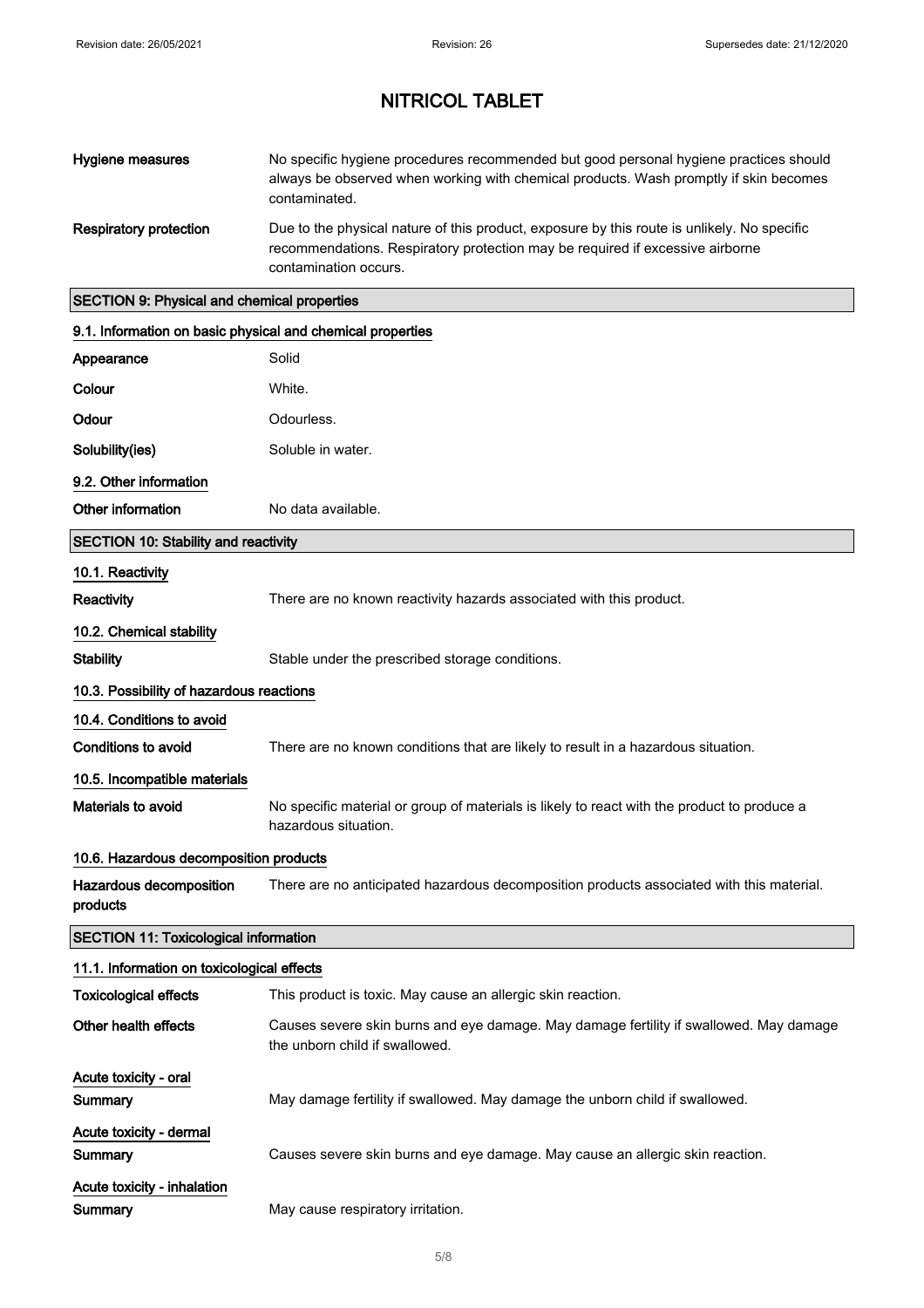| Hygiene measures                                           | No specific hygiene procedures recommended but good personal hygiene practices should<br>always be observed when working with chemical products. Wash promptly if skin becomes<br>contaminated.       |
|------------------------------------------------------------|-------------------------------------------------------------------------------------------------------------------------------------------------------------------------------------------------------|
| <b>Respiratory protection</b>                              | Due to the physical nature of this product, exposure by this route is unlikely. No specific<br>recommendations. Respiratory protection may be required if excessive airborne<br>contamination occurs. |
| <b>SECTION 9: Physical and chemical properties</b>         |                                                                                                                                                                                                       |
| 9.1. Information on basic physical and chemical properties |                                                                                                                                                                                                       |
| Appearance                                                 | Solid                                                                                                                                                                                                 |
| Colour                                                     | White.                                                                                                                                                                                                |
| Odour                                                      | Odourless.                                                                                                                                                                                            |
| Solubility(ies)                                            | Soluble in water.                                                                                                                                                                                     |
| 9.2. Other information                                     |                                                                                                                                                                                                       |
| Other information                                          | No data available.                                                                                                                                                                                    |
| <b>SECTION 10: Stability and reactivity</b>                |                                                                                                                                                                                                       |
| 10.1. Reactivity                                           |                                                                                                                                                                                                       |
| Reactivity                                                 | There are no known reactivity hazards associated with this product.                                                                                                                                   |
| 10.2. Chemical stability                                   |                                                                                                                                                                                                       |
| <b>Stability</b>                                           | Stable under the prescribed storage conditions.                                                                                                                                                       |
| 10.3. Possibility of hazardous reactions                   |                                                                                                                                                                                                       |
| 10.4. Conditions to avoid                                  |                                                                                                                                                                                                       |

Conditions to avoid There are no known conditions that are likely to result in a hazardous situation.

## 10.5. Incompatible materials

Materials to avoid No specific material or group of materials is likely to react with the product to produce a hazardous situation.

## 10.6. Hazardous decomposition products

| Hazardous decomposition | There are no anticipated hazardous decomposition products associated with this material. |
|-------------------------|------------------------------------------------------------------------------------------|
| products                |                                                                                          |

## SECTION 11: Toxicological information

| 11.1. Information on toxicological effects |                                                                                                                          |  |
|--------------------------------------------|--------------------------------------------------------------------------------------------------------------------------|--|
| <b>Toxicological effects</b>               | This product is toxic. May cause an allergic skin reaction.                                                              |  |
| Other health effects                       | Causes severe skin burns and eye damage. May damage fertility if swallowed. May damage<br>the unborn child if swallowed. |  |
| Acute toxicity - oral                      |                                                                                                                          |  |
| Summary                                    | May damage fertility if swallowed. May damage the unborn child if swallowed.                                             |  |
| Acute toxicity - dermal                    |                                                                                                                          |  |
| Summary                                    | Causes severe skin burns and eye damage. May cause an allergic skin reaction.                                            |  |
| Acute toxicity - inhalation                |                                                                                                                          |  |
| Summary                                    | May cause respiratory irritation.                                                                                        |  |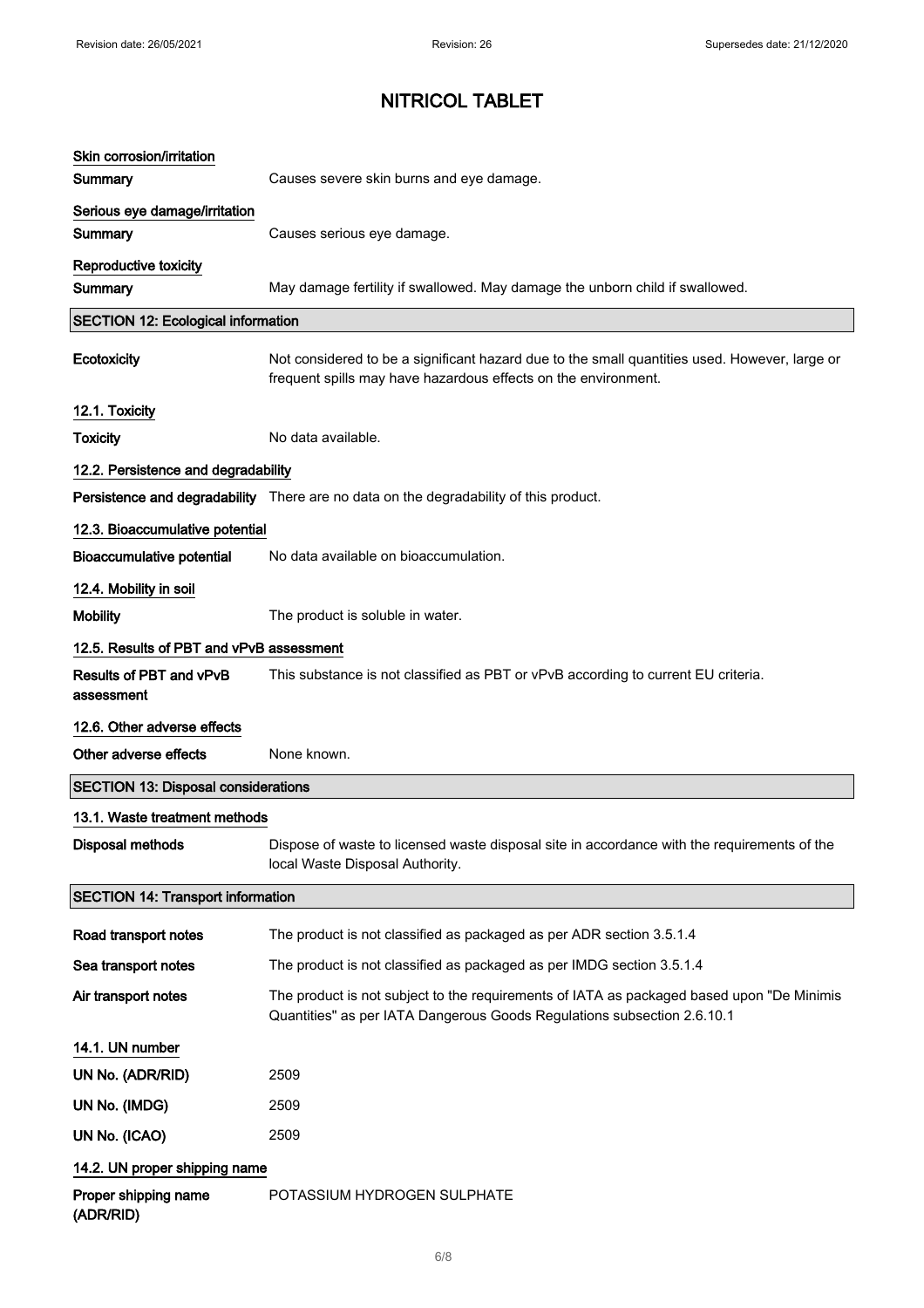| Skin corrosion/irritation                  |                                                                                                                                                                       |
|--------------------------------------------|-----------------------------------------------------------------------------------------------------------------------------------------------------------------------|
| Summary                                    | Causes severe skin burns and eye damage.                                                                                                                              |
| Serious eye damage/irritation<br>Summary   | Causes serious eye damage.                                                                                                                                            |
| Reproductive toxicity                      |                                                                                                                                                                       |
| Summary                                    | May damage fertility if swallowed. May damage the unborn child if swallowed.                                                                                          |
| <b>SECTION 12: Ecological information</b>  |                                                                                                                                                                       |
| Ecotoxicity                                | Not considered to be a significant hazard due to the small quantities used. However, large or<br>frequent spills may have hazardous effects on the environment.       |
| 12.1. Toxicity                             |                                                                                                                                                                       |
| <b>Toxicity</b>                            | No data available.                                                                                                                                                    |
| 12.2. Persistence and degradability        |                                                                                                                                                                       |
|                                            | Persistence and degradability There are no data on the degradability of this product.                                                                                 |
| 12.3. Bioaccumulative potential            |                                                                                                                                                                       |
| <b>Bioaccumulative potential</b>           | No data available on bioaccumulation.                                                                                                                                 |
| 12.4. Mobility in soil                     |                                                                                                                                                                       |
| <b>Mobility</b>                            | The product is soluble in water.                                                                                                                                      |
| 12.5. Results of PBT and vPvB assessment   |                                                                                                                                                                       |
| Results of PBT and vPvB<br>assessment      | This substance is not classified as PBT or vPvB according to current EU criteria.                                                                                     |
| 12.6. Other adverse effects                |                                                                                                                                                                       |
| Other adverse effects                      | None known.                                                                                                                                                           |
| <b>SECTION 13: Disposal considerations</b> |                                                                                                                                                                       |
| 13.1. Waste treatment methods              |                                                                                                                                                                       |
| <b>Disposal methods</b>                    | Dispose of waste to licensed waste disposal site in accordance with the requirements of the<br>local Waste Disposal Authority.                                        |
| <b>SECTION 14: Transport information</b>   |                                                                                                                                                                       |
| Road transport notes                       | The product is not classified as packaged as per ADR section 3.5.1.4                                                                                                  |
| Sea transport notes                        | The product is not classified as packaged as per IMDG section 3.5.1.4                                                                                                 |
| Air transport notes                        | The product is not subject to the requirements of IATA as packaged based upon "De Minimis"<br>Quantities" as per IATA Dangerous Goods Regulations subsection 2.6.10.1 |
| 14.1. UN number                            |                                                                                                                                                                       |
| UN No. (ADR/RID)                           | 2509                                                                                                                                                                  |
| UN No. (IMDG)                              | 2509                                                                                                                                                                  |
| UN No. (ICAO)                              | 2509                                                                                                                                                                  |
| 14.2. UN proper shipping name              |                                                                                                                                                                       |
| Proper shipping name<br>(ADR/RID)          | POTASSIUM HYDROGEN SULPHATE                                                                                                                                           |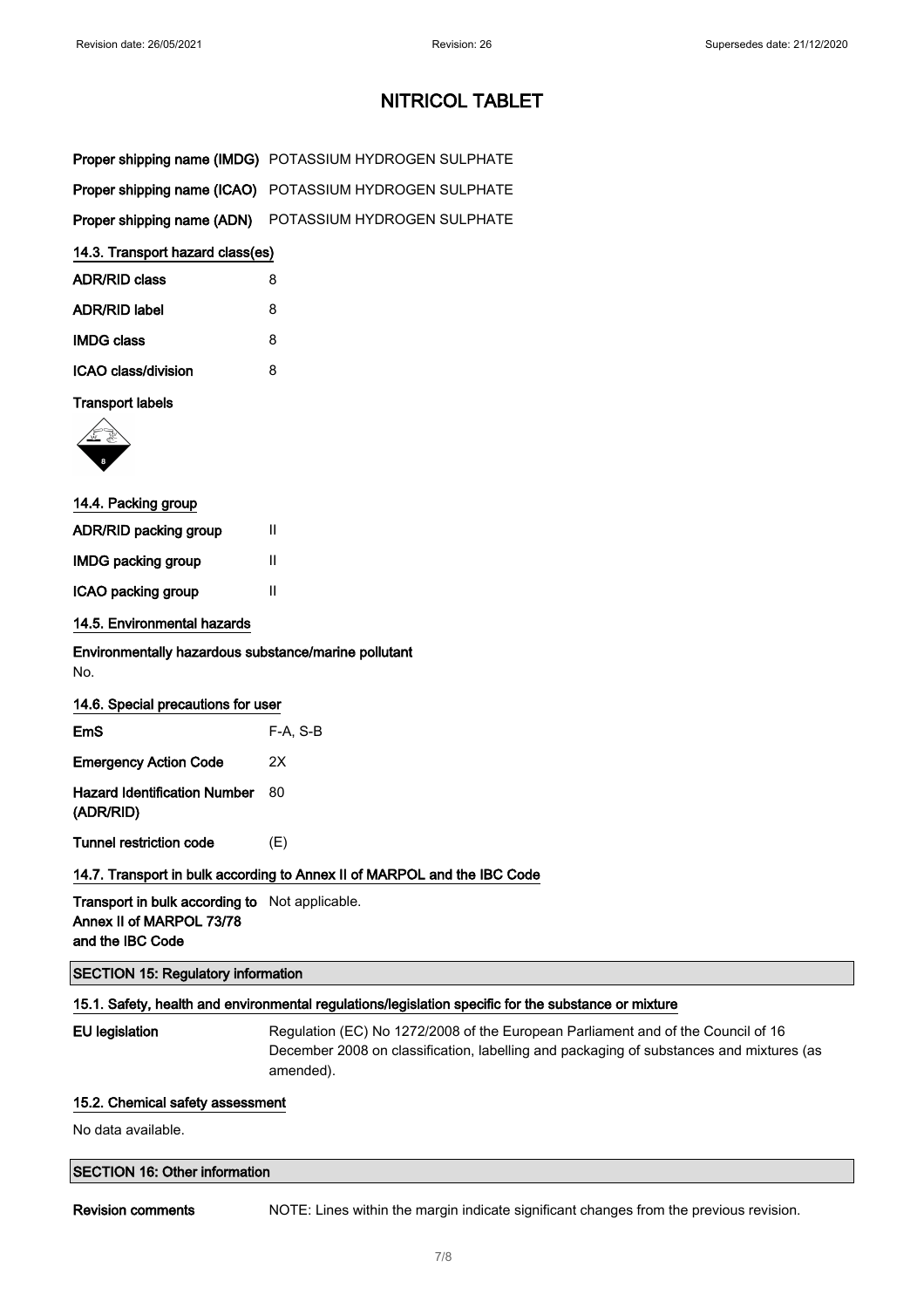| Proper shipping name (IMDG) POTASSIUM HYDROGEN SULPHATE |
|---------------------------------------------------------|
| Proper shipping name (ICAO) POTASSIUM HYDROGEN SULPHATE |
| Proper shipping name (ADN) POTASSIUM HYDROGEN SULPHATE  |

#### 14.3. Transport hazard class(es)

| <b>ADR/RID class</b> | 8 |
|----------------------|---|
| <b>ADR/RID label</b> | 8 |
| <b>IMDG class</b>    | 8 |
| ICAO class/division  | 8 |

### Transport labels



| 14.4. Packing group       |   |  |
|---------------------------|---|--|
| ADR/RID packing group     | Ш |  |
| <b>IMDG packing group</b> | Ш |  |
| ICAO packing group        | Ш |  |
|                           |   |  |

## 14.5. Environmental hazards

Environmentally hazardous substance/marine pollutant No.

| EmS                                       | $F-A, S-B$ |
|-------------------------------------------|------------|
| Emergency Action Code                     | 2X         |
| Hazard Identification Number<br>(ADR/RID) | 80         |
|                                           |            |

Tunnel restriction code (E)

## 14.7. Transport in bulk according to Annex II of MARPOL and the IBC Code

Transport in bulk according to Not applicable. Annex II of MARPOL 73/78 and the IBC Code

### SECTION 15: Regulatory information

## 15.1. Safety, health and environmental regulations/legislation specific for the substance or mixture

EU legislation Regulation (EC) No 1272/2008 of the European Parliament and of the Council of 16 December 2008 on classification, labelling and packaging of substances and mixtures (as amended).

#### 15.2. Chemical safety assessment

No data available.

## SECTION 16: Other information

Revision comments NOTE: Lines within the margin indicate significant changes from the previous revision.